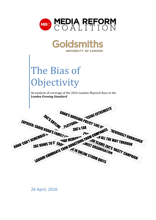



# The Bias of **Objectivity**

An analysis of coverage of the 2016 London Mayoral Race in the *London Evening Standard*

**VIGSIDE EXTREMISTS' KHAN'S HOUSING POLICY 'LIKE OF EAG'S SKYLINE PLATFORM**<br>RHAN'S EALLY PLATFORM EXPOSED: SADIO KHAN'S FAMILY INC. **CONTROLLARY SEAMILY IN THE STAN COMPANIES THEVIOUSLY RUBBISHED'**<br>
THE MORE R N. WAR MEMORIAL FROM COMPANIES THEVIOUSLY RUBBISHED'<br>
THE VOWS TO S' SADY ON DONATIONS FROM CLAMS THE WAY THROUGH<br>
THE VOWS TO S' SADY ON DONATI **KHAN GAN'T REMEMBER IN** ZAC VOWS TO S' **DURE: AND THIST ORGANISAT**<br>AE IN ONLINE STORM QUITS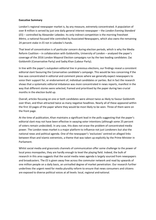### **Executive Summary**

London's regional newspaper market is, by any measure, extremely concentrated. A population of over 8 million is served by just one daily general interest newspaper – the *London Evening Standard*  (*ES*) – controlled by Alexander Lebedev. Its only indirect competition is the morning freesheet *Metro*, a national-focused title controlled by Associated Newspapers, which also owns the remaining 24 percent stake in *ES* not in Lebedev's hands.

That level of concentration is of particular concern during election periods, which is why the Media Reform Coalition – in collaboration with Goldsmiths, University of London – analysed the paper's coverage of the 2016 London Mayoral Election campaigns run by the two leading candidates: Zac Goldsmith (Conservative Party) and Sadiq Khan (Labour Party).

In line with the paper's outspoken editorial line in previous elections, our findings reveal a consistent editorial slant favouring the Conservative candidate's campaign. This would be less concerning if the bias was concentrated in editorial and comment pieces where we generally expect newspapers to voice their support for, or endorsement of, individual candidates or parties. But in fact the research shows that a systematic editorial imbalance was *more* concentrated in news reports, manifest in the way that different stories were selected, framed and prioritised by the paper during two crucial months in the election build up.

Overall, articles focusing on one or both candidates were almost twice as likely to favour Goldsmith over Khan, and Khan attracted twice as many negative headlines. Nearly all of these appeared within the first 10 pages of the paper where they would be most likely to be seen. Three of them were on the front page.

At the time of publication, Khan maintains a significant lead in the polls suggesting that the paper's editorial slant may not have been effective in swaying voter intentions (although some 25 percent of voters remain undecided). In any case, this does not erase the problem of concentrated media power. The London news market is a major platform to influence not just Londoners but also the national news and political agenda. One of the newspaper's 'exclusives' centred on alleged links between Khan and Islamic extremists, a theme that was taken up explicitly by the Prime Minister in Parliament.

Whilst social media and grassroots channels of communication offer some challenge to the power of local press monopolies, they are hardly enough to level the playing field. Indeed, the bulk of research in this area suggests that the social media news agenda is largely sourced from newspapers and broadcasters. The *ES* is given away free across the commuter network and read by upwards of one million people on a daily basis, an unrivalled degree of market penetration. Our research further underlines the urgent need for media plurality reform to ensure that news consumers and citizens are exposed to diverse political voices at all levels: local, regional andnational.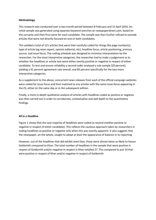# **Methodology**

This research was conducted over a two month period between 8 February and 15 April 2016. An initial sample was generated using separate keyword searches on newspaperdirect.com, based on the surname and then first name for each candidate. The sample was then further refined to exclude articles that were not directly focused on one or both candidates.

This yielded a total of 121 articles that were then carefully coded for things like page number(s), type of article (eg news report, opinion editorial, etc), headline focus, article positioning, primary source, and issue focus. The coding schedule was designed to minimise interpretation by the researcher. For the most interpretive categories, the researcher had to make a judgement as to whether the headlines or article text were either overtly positive or negative in respect of either candidate. To test and ensure reliability a second coder analysed a sub-sample (20 percent), yielding a 91 percent agreement rate overall, and 85 percent specifically for the two more interpretive categories.

As a supplement to the above, concurrent news releases from each of the official campaign websites were coded for issue focus and then matched to any articles with the same issue focus appearing in the *ES*, either on the same day or in the subsequent edition.

Finally, a more in-depth qualitative analysis of articles with headlines coded as positive or negative was then carried out in order to corroborate, contextualise and add depth to the quantitative findings.

### **All in a Headline**

Figure 1 shows that the vast majority of headlines were coded as neutral (neither positive or negative in respect of either candidate). This reflects the cautious approach taken by researchers in coding headlines as positive or negative only when this was overtly apparent. It also suggests that the newspaper, on the whole, sought to adopt at least the appearance of balance in its reporting.

However, out of the headlines that did exhibit overt bias, these were almost twice as likely to favour Goldsmith compared to Khan. The total number of headlines in the sample that were positive in respect of Goldsmith and/or negative in respect in Khan totalled 27. This compared to just 14 that were positive in respect of Khan and/or negative in respect of Goldsmith.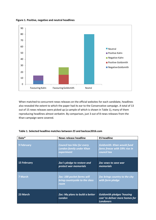



When matched to concurrent news releases on the official websites for each candidate, headlines also revealed the extent to which the paper had its ear to the Conservative campaign. A total of 13 out of 15 news releases were picked up (a sample of which is shown in Table 1), many of them reproducing headlines almost verbatim. By comparison, just 3 out of 8 news releases from the Khan campaign were covered.

| Date*       | <b>News release headline</b>                                                       | <b>ES headline</b>                                                                       |
|-------------|------------------------------------------------------------------------------------|------------------------------------------------------------------------------------------|
| 9 February  | <b>Council tax hike for every</b><br><b>London family under Khan</b><br>experiment | <b>Goldsmith: Khan would fund</b><br>fares freeze with 59% rise in<br>council tax        |
| 15 February | Zac's pledge to restore and<br>protect war memorials                               | <b>Zac vows to save war</b><br>memorials                                                 |
| 7 March     | Zac: 100 pocket farms will<br>bring countryside to the class<br>room               | <b>Zac brings country to the city</b><br>with farm pledge                                |
| 23 March    | <b>Zac: My plans to build a better</b><br>London                                   | <b>Goldsmith pledges 'housing</b><br>czar' to deliver more homes for<br><b>Londoners</b> |

### **Table 1. Selected headline matches between** *ES* **and backzac2016.com**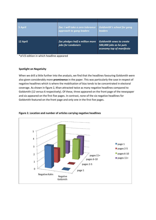| 5 April  | Zac: I will take a zero tolerance<br>approach to gang leaders | <b>Goldsmith's school for gang</b><br><b>leaders</b>                                   |
|----------|---------------------------------------------------------------|----------------------------------------------------------------------------------------|
| 12 April | Zac pledges half a million more<br>jobs for Londoners         | <b>Goldsmith vows to create</b><br>500,000 jobs as he puts<br>economy top of manifesto |

\*of *ES* edition in which headline appeared

# **Spotlight on Negativity**

When we drill a little further into the analysis, we find that the headlines favouring Goldsmith were also given considerably more **prominence** in the paper. This was particularly the case in respect of negative headlines which is where the mobilisation of bias tends to be concentrated in electoral coverage. As shown in figure 2, Khan attracted twice as many negative headlines compared to Goldsmith (12 versus 6 respectively). Of these, three appeared on the front page of the newspaper and six appeared on the first five pages. In contrast, none of the six negative headlines for Goldsmith featured on the front page and only one in the first five pages.



**Figure 2. Location and number of articles carrying negative headlines**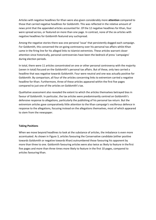Articles with negative headlines for Khan were also given considerably more **attention** compared to those that carried negative headlines for Goldsmith. This was reflected in the relative amount of news print that the appended articles accounted for. Of the 12 negative headlines for Khan, four were spread across, or featured on more than one page. In contrast, none of the six articles with negative headlines for Goldsmith featured any suchspread.

Among the negative stories there was one personal 'issue' that persistently dogged each campaign. For Goldsmith, this concerned the on-going controversy over his personal tax affairs whilst Khan came in the firing line for his alleged links to Islamist extremists. These articles warrant closer attention since historically, personal controversies have been the bedrock of press 'campaigns' during election periods.

In total, there were 11 articles concentrated on one or other personal controversy with the majority (seven in total) focused on the Goldsmith's personal tax affairs. But of these, only two carried a headline that was negative towards Goldsmith. Four were neutral and one was actually positive for Goldsmith. By comparison, all four of the articles concerning links to extremism carried a negative headline for Khan. Furthermore, three of these articles appeared within the first five pages compared to just one of the articles on Goldsmith's tax.

Qualitative assessment also revealed the extent to which the articles themselves betrayed bias in favour of Goldsmith. In particular, the tax articles were predominantly centred on Goldsmith's defensive response to allegations, particularly the publishing of his personal tax return. But the extremism articles gave comparatively little attention to the Khan campaign's vociferous defence in response to the allegations, focusing instead on the allegations themselves, most of which appeared to stem from the newspaper.

### **Taking Positions**

When we move beyond headlines to look at the substance of articles, the imbalance is even more accentuated. As shown in Figure 3, articles favouring the Conservative candidate (either positive towards Goldsmith or negative towards Khan) outnumbered those favouring his opponent by more than three to one. Goldsmith favouring articles were also twice as likely to feature in thefirst five pages and more than three times more likely to feature in the first 10 pages, compared to articles favouring Khan.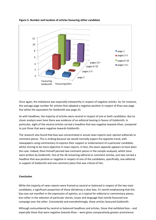

**Figure 3. Number and location of articles favouring either candidate**

Once again, the imbalance was especially noteworthy in respect of negative articles. So, for instance, the average page number for articles that adopted a negative position in respect of Khan was page five whilst the equivalent for Goldsmith was page 23.

As with headlines, the majority of articles were neutral in respect of one or both candidates. But on closer analysis even here there was evidence of an editorial leaning in favour of Goldsmith. In particular, eight of the neutral articles carried a headline that was negative towards Khan, compared to just three that were negative towards Goldsmith.

The research also found that bias was concentrated in actual news reports over opinion editorials or comment pieces. This is striking because we would normally expect the opposite trend, with newspapers using commentary to express their support or endorsement of a particular candidate, whilst striving to be more objective in news reports. In fact, the exact opposite appears to have been the case. Indeed, Khan himself penned two comment pieces in the sample analysed, whilst none were written by Goldsmith. Out of the 28 remaining editorial or comment articles, just two carried a headline that was positive or negative in respect of one of the candidates; specifically, one editorial in support of Goldsmith and one comment piece that was critical of him.

### **Conclusion**

While the majority of news reports were framed as neutral or balanced in respect of the two main candidates, a significant proportion of these did betray a clear bias. It's worth emphasising that this bias was not manifest in the expression of opinion, as is typical for editorial or commentary pieces, but rather in the selection of particular stories, issues and language that *overtly* favoured one campaign over the other. Consistently and overwhelmingly, these articles favoured Goldsmith.

Although outnumbered by neutral or balanced headlines and articles, those that exhibited bias – and especially those that were negative towards Khan – were given comparatively greater prominence